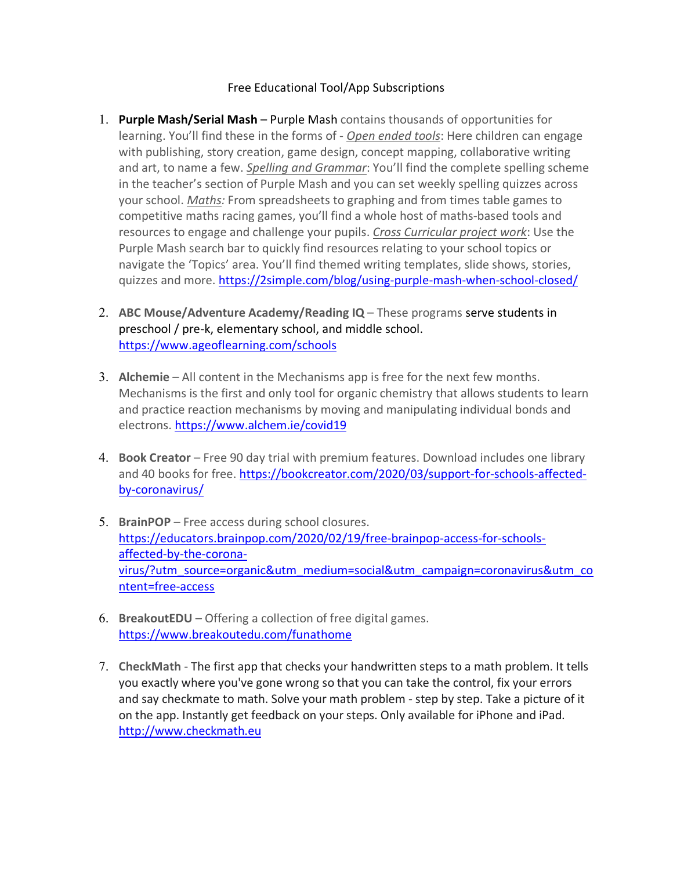## Free Educational Tool/App Subscriptions

- 1. **Purple Mash/Serial Mash** Purple Mash contains thousands of opportunities for learning. You'll find these in the forms of - *Open ended tools*: Here children can engage with publishing, story creation, game design, concept mapping, collaborative writing and art, to name a few. *Spelling and Grammar*: You'll find the complete spelling scheme in the teacher's section of Purple Mash and you can set weekly spelling quizzes across your school. *Maths:* From spreadsheets to graphing and from times table games to competitive maths racing games, you'll find a whole host of maths-based tools and resources to engage and challenge your pupils. *Cross Curricular project work*: Use the Purple Mash search bar to quickly find resources relating to your school topics or navigate the 'Topics' area. You'll find themed writing templates, slide shows, stories, quizzes and more. https://2simple.com/blog/using-purple-mash-when-school-closed/
- 2. **ABC Mouse/Adventure Academy/Reading IQ** These programs serve students in preschool / pre-k, elementary school, and middle school. https://www.ageoflearning.com/schools
- 3. **Alchemie** All content in the Mechanisms app is free for the next few months. Mechanisms is the first and only tool for organic chemistry that allows students to learn and practice reaction mechanisms by moving and manipulating individual bonds and electrons. https://www.alchem.ie/covid19
- 4. **Book Creator** Free 90 day trial with premium features. Download includes one library and 40 books for free. https://bookcreator.com/2020/03/support-for-schools-affectedby-coronavirus/
- 5. **BrainPOP** Free access during school closures. https://educators.brainpop.com/2020/02/19/free-brainpop-access-for-schoolsaffected-by-the-coronavirus/?utm\_source=organic&utm\_medium=social&utm\_campaign=coronavirus&utm\_co ntent=free-access
- 6. **BreakoutEDU** Offering a collection of free digital games. https://www.breakoutedu.com/funathome
- 7. **CheckMath** The first app that checks your handwritten steps to a math problem. It tells you exactly where you've gone wrong so that you can take the control, fix your errors and say checkmate to math. Solve your math problem - step by step. Take a picture of it on the app. Instantly get feedback on your steps. Only available for iPhone and iPad. http://www.checkmath.eu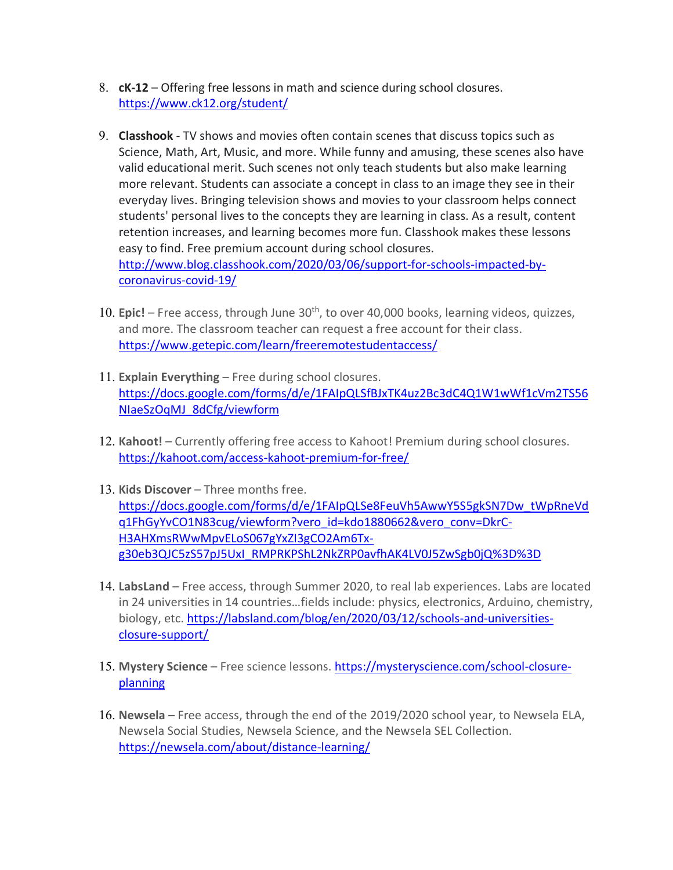- 8. **cK-12** Offering free lessons in math and science during school closures. https://www.ck12.org/student/
- 9. **Classhook** TV shows and movies often contain scenes that discuss topics such as Science, Math, Art, Music, and more. While funny and amusing, these scenes also have valid educational merit. Such scenes not only teach students but also make learning more relevant. Students can associate a concept in class to an image they see in their everyday lives. Bringing television shows and movies to your classroom helps connect students' personal lives to the concepts they are learning in class. As a result, content retention increases, and learning becomes more fun. Classhook makes these lessons easy to find. Free premium account during school closures. http://www.blog.classhook.com/2020/03/06/support-for-schools-impacted-bycoronavirus-covid-19/
- 10. **Epic!** Free access, through June 30<sup>th</sup>, to over 40,000 books, learning videos, quizzes, and more. The classroom teacher can request a free account for their class. https://www.getepic.com/learn/freeremotestudentaccess/
- 11. **Explain Everything** Free during school closures. https://docs.google.com/forms/d/e/1FAIpQLSfBJxTK4uz2Bc3dC4Q1W1wWf1cVm2TS56 NIaeSzOqMJ\_8dCfg/viewform
- 12. **Kahoot!** Currently offering free access to Kahoot! Premium during school closures. https://kahoot.com/access-kahoot-premium-for-free/
- 13. **Kids Discover** Three months free. https://docs.google.com/forms/d/e/1FAIpQLSe8FeuVh5AwwY5S5gkSN7Dw\_tWpRneVd q1FhGyYvCO1N83cug/viewform?vero\_id=kdo1880662&vero\_conv=DkrC-H3AHXmsRWwMpvELoS067gYxZI3gCO2Am6Txg30eb3QJC5zS57pJ5UxI\_RMPRKPShL2NkZRP0avfhAK4LV0J5ZwSgb0jQ%3D%3D
- 14. **LabsLand** Free access, through Summer 2020, to real lab experiences. Labs are located in 24 universities in 14 countries…fields include: physics, electronics, Arduino, chemistry, biology, etc. https://labsland.com/blog/en/2020/03/12/schools-and-universitiesclosure-support/
- 15. **Mystery Science** Free science lessons. https://mysteryscience.com/school-closureplanning
- 16. **Newsela** Free access, through the end of the 2019/2020 school year, to Newsela ELA, Newsela Social Studies, Newsela Science, and the Newsela SEL Collection. https://newsela.com/about/distance-learning/